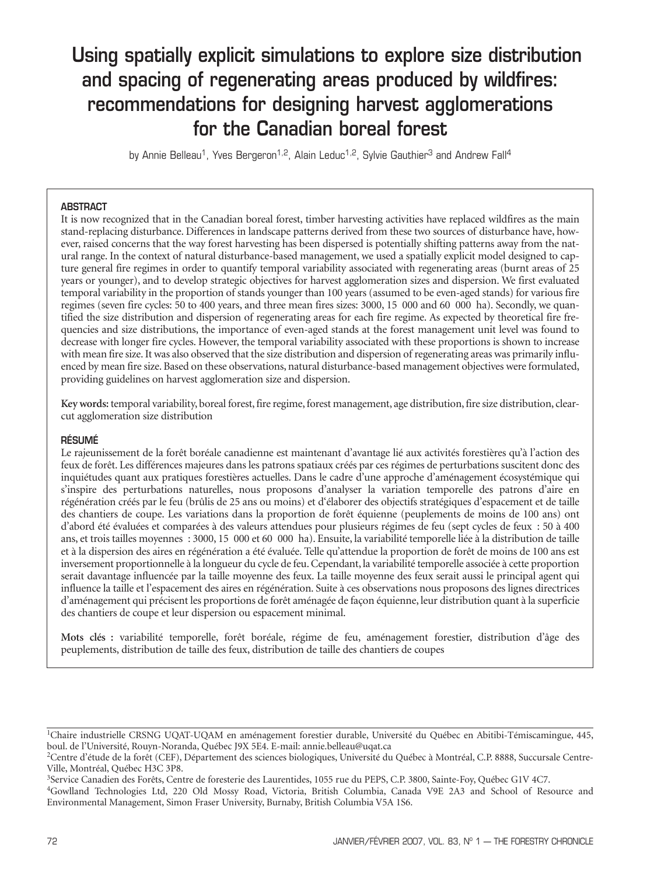# Using spatially explicit simulations to explore size distribution and spacing of regenerating areas produced by wildfires: recommendations for designing harvest agglomerations for the Canadian boreal forest

by Annie Belleau<sup>1</sup>, Yves Bergeron<sup>1,2</sup>, Alain Leduc<sup>1,2</sup>, Sylvie Gauthier<sup>3</sup> and Andrew Fall<sup>4</sup>

# ABSTRACT

It is now recognized that in the Canadian boreal forest, timber harvesting activities have replaced wildfires as the main stand-replacing disturbance. Differences in landscape patterns derived from these two sources of disturbance have, however, raised concerns that the way forest harvesting has been dispersed is potentially shifting patterns away from the natural range. In the context of natural disturbance-based management, we used a spatially explicit model designed to capture general fire regimes in order to quantify temporal variability associated with regenerating areas (burnt areas of 25 years or younger), and to develop strategic objectives for harvest agglomeration sizes and dispersion. We first evaluated temporal variability in the proportion of stands younger than 100 years (assumed to be even-aged stands) for various fire regimes (seven fire cycles: 50 to 400 years, and three mean fires sizes: 3000, 15 000 and 60 000 ha). Secondly, we quantified the size distribution and dispersion of regenerating areas for each fire regime. As expected by theoretical fire frequencies and size distributions, the importance of even-aged stands at the forest management unit level was found to decrease with longer fire cycles. However, the temporal variability associated with these proportions is shown to increase with mean fire size. It was also observed that the size distribution and dispersion of regenerating areas was primarily influenced by mean fire size. Based on these observations, natural disturbance-based management objectives were formulated, providing guidelines on harvest agglomeration size and dispersion.

**Key words:** temporal variability, boreal forest, fire regime, forest management, age distribution, fire size distribution, clearcut agglomeration size distribution

#### RÉSUMÉ

Le rajeunissement de la forêt boréale canadienne est maintenant d'avantage lié aux activités forestières qu'à l'action des feux de forêt. Les différences majeures dans les patrons spatiaux créés par ces régimes de perturbations suscitent donc des inquiétudes quant aux pratiques forestières actuelles. Dans le cadre d'une approche d'aménagement écosystémique qui s'inspire des perturbations naturelles, nous proposons d'analyser la variation temporelle des patrons d'aire en régénération créés par le feu (brûlis de 25 ans ou moins) et d'élaborer des objectifs stratégiques d'espacement et de taille des chantiers de coupe. Les variations dans la proportion de forêt équienne (peuplements de moins de 100 ans) ont d'abord été évaluées et comparées à des valeurs attendues pour plusieurs régimes de feu (sept cycles de feux : 50 à 400 ans, et trois tailles moyennes : 3000, 15 000 et 60 000 ha). Ensuite, la variabilité temporelle liée à la distribution de taille et à la dispersion des aires en régénération a été évaluée. Telle qu'attendue la proportion de forêt de moins de 100 ans est inversement proportionnelle à la longueur du cycle de feu. Cependant, la variabilité temporelle associée à cette proportion serait davantage influencée par la taille moyenne des feux. La taille moyenne des feux serait aussi le principal agent qui influence la taille et l'espacement des aires en régénération. Suite à ces observations nous proposons des lignes directrices d'aménagement qui précisent les proportions de forêt aménagée de façon équienne, leur distribution quant à la superficie des chantiers de coupe et leur dispersion ou espacement minimal.

**Mots clés :** variabilité temporelle, forêt boréale, régime de feu, aménagement forestier, distribution d'âge des peuplements, distribution de taille des feux, distribution de taille des chantiers de coupes

<sup>1</sup>Chaire industrielle CRSNG UQAT-UQAM en aménagement forestier durable, Université du Québec en Abitibi-Témiscamingue, 445, boul. de l'Université, Rouyn-Noranda, Québec J9X 5E4. E-mail: annie.belleau@uqat.ca

<sup>&</sup>lt;sup>2</sup>Centre d'étude de la forêt (CEF), Département des sciences biologiques, Université du Québec à Montréal, C.P. 8888, Succursale Centre-<br>Ville, Montréal, Québec H3C 3P8.

<sup>&</sup>lt;sup>3</sup>Service Canadien des Forêts, Centre de foresterie des Laurentides, 1055 rue du PEPS, C.P. 3800, Sainte-Foy, Québec G1V 4C7.

<sup>4</sup>Gowlland Technologies Ltd, 220 Old Mossy Road, Victoria, British Columbia, Canada V9E 2A3 and School of Resource and Environmental Management, Simon Fraser University, Burnaby, British Columbia V5A 1S6.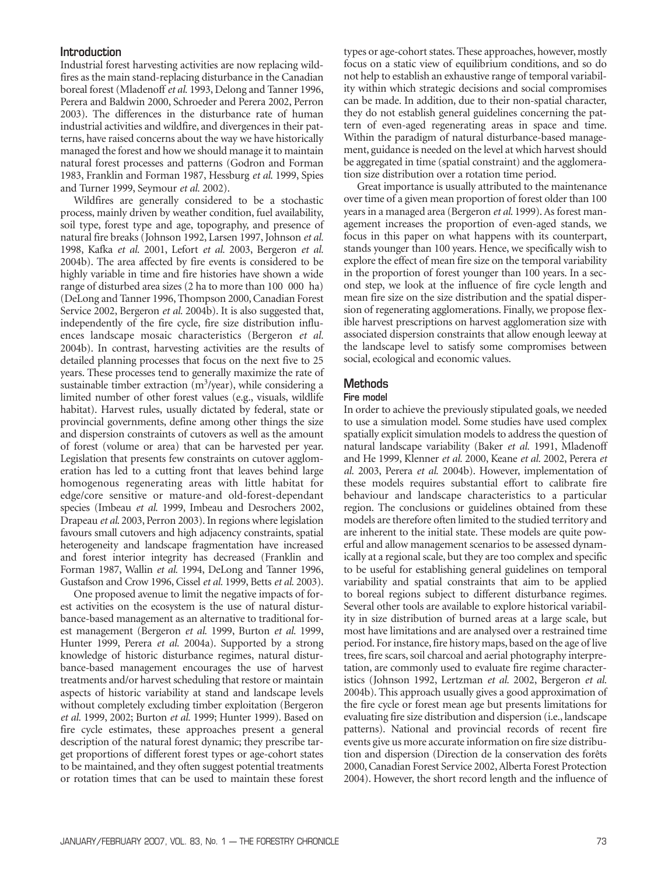### Introduction

Industrial forest harvesting activities are now replacing wildfires as the main stand-replacing disturbance in the Canadian boreal forest (Mladenoff *et al.* 1993, Delong and Tanner 1996, Perera and Baldwin 2000, Schroeder and Perera 2002, Perron 2003). The differences in the disturbance rate of human industrial activities and wildfire, and divergences in their patterns, have raised concerns about the way we have historically managed the forest and how we should manage it to maintain natural forest processes and patterns (Godron and Forman 1983, Franklin and Forman 1987, Hessburg *et al*. 1999, Spies and Turner 1999, Seymour *et al.* 2002).

Wildfires are generally considered to be a stochastic process, mainly driven by weather condition, fuel availability, soil type, forest type and age, topography, and presence of natural fire breaks (Johnson 1992, Larsen 1997, Johnson *et al.* 1998, Kafka *et al.* 2001, Lefort *et al.* 2003, Bergeron *et al.* 2004b). The area affected by fire events is considered to be highly variable in time and fire histories have shown a wide range of disturbed area sizes (2 ha to more than 100 000 ha) (DeLong and Tanner 1996, Thompson 2000, Canadian Forest Service 2002, Bergeron *et al.* 2004b). It is also suggested that, independently of the fire cycle, fire size distribution influences landscape mosaic characteristics (Bergeron *et al.* 2004b). In contrast, harvesting activities are the results of detailed planning processes that focus on the next five to 25 years. These processes tend to generally maximize the rate of sustainable timber extraction  $(m^3$ /year), while considering a limited number of other forest values (e.g., visuals, wildlife habitat). Harvest rules, usually dictated by federal, state or provincial governments, define among other things the size and dispersion constraints of cutovers as well as the amount of forest (volume or area) that can be harvested per year. Legislation that presents few constraints on cutover agglomeration has led to a cutting front that leaves behind large homogenous regenerating areas with little habitat for edge/core sensitive or mature-and old-forest-dependant species (Imbeau *et al.* 1999, Imbeau and Desrochers 2002, Drapeau *et al*. 2003, Perron 2003). In regions where legislation favours small cutovers and high adjacency constraints, spatial heterogeneity and landscape fragmentation have increased and forest interior integrity has decreased (Franklin and Forman 1987, Wallin *et al.* 1994, DeLong and Tanner 1996, Gustafson and Crow 1996, Cissel *et al.* 1999, Betts *et al.* 2003).

One proposed avenue to limit the negative impacts of forest activities on the ecosystem is the use of natural disturbance-based management as an alternative to traditional forest management (Bergeron *et al.* 1999, Burton *et al.* 1999, Hunter 1999, Perera *et al.* 2004a). Supported by a strong knowledge of historic disturbance regimes, natural disturbance-based management encourages the use of harvest treatments and/or harvest scheduling that restore or maintain aspects of historic variability at stand and landscape levels without completely excluding timber exploitation (Bergeron *et al.* 1999, 2002; Burton *et al.* 1999; Hunter 1999). Based on fire cycle estimates, these approaches present a general description of the natural forest dynamic; they prescribe target proportions of different forest types or age-cohort states to be maintained, and they often suggest potential treatments or rotation times that can be used to maintain these forest

types or age-cohort states. These approaches, however, mostly focus on a static view of equilibrium conditions, and so do not help to establish an exhaustive range of temporal variability within which strategic decisions and social compromises can be made. In addition, due to their non-spatial character, they do not establish general guidelines concerning the pattern of even-aged regenerating areas in space and time. Within the paradigm of natural disturbance-based management, guidance is needed on the level at which harvest should be aggregated in time (spatial constraint) and the agglomeration size distribution over a rotation time period.

Great importance is usually attributed to the maintenance over time of a given mean proportion of forest older than 100 years in a managed area (Bergeron *et al*. 1999). As forest management increases the proportion of even-aged stands, we focus in this paper on what happens with its counterpart, stands younger than 100 years. Hence, we specifically wish to explore the effect of mean fire size on the temporal variability in the proportion of forest younger than 100 years. In a second step, we look at the influence of fire cycle length and mean fire size on the size distribution and the spatial dispersion of regenerating agglomerations. Finally, we propose flexible harvest prescriptions on harvest agglomeration size with associated dispersion constraints that allow enough leeway at the landscape level to satisfy some compromises between social, ecological and economic values.

# **Methods**

#### Fire model

In order to achieve the previously stipulated goals, we needed to use a simulation model. Some studies have used complex spatially explicit simulation models to address the question of natural landscape variability (Baker *et al.* 1991, Mladenoff and He 1999, Klenner *et al.* 2000, Keane *et al.* 2002, Perera *et al.* 2003, Perera *et al.* 2004b). However, implementation of these models requires substantial effort to calibrate fire behaviour and landscape characteristics to a particular region. The conclusions or guidelines obtained from these models are therefore often limited to the studied territory and are inherent to the initial state. These models are quite powerful and allow management scenarios to be assessed dynamically at a regional scale, but they are too complex and specific to be useful for establishing general guidelines on temporal variability and spatial constraints that aim to be applied to boreal regions subject to different disturbance regimes. Several other tools are available to explore historical variability in size distribution of burned areas at a large scale, but most have limitations and are analysed over a restrained time period. For instance, fire history maps, based on the age of live trees, fire scars, soil charcoal and aerial photography interpretation, are commonly used to evaluate fire regime characteristics (Johnson 1992, Lertzman *et al.* 2002, Bergeron *et al.* 2004b). This approach usually gives a good approximation of the fire cycle or forest mean age but presents limitations for evaluating fire size distribution and dispersion (i.e., landscape patterns). National and provincial records of recent fire events give us more accurate information on fire size distribution and dispersion (Direction de la conservation des forêts 2000, Canadian Forest Service 2002, Alberta Forest Protection 2004). However, the short record length and the influence of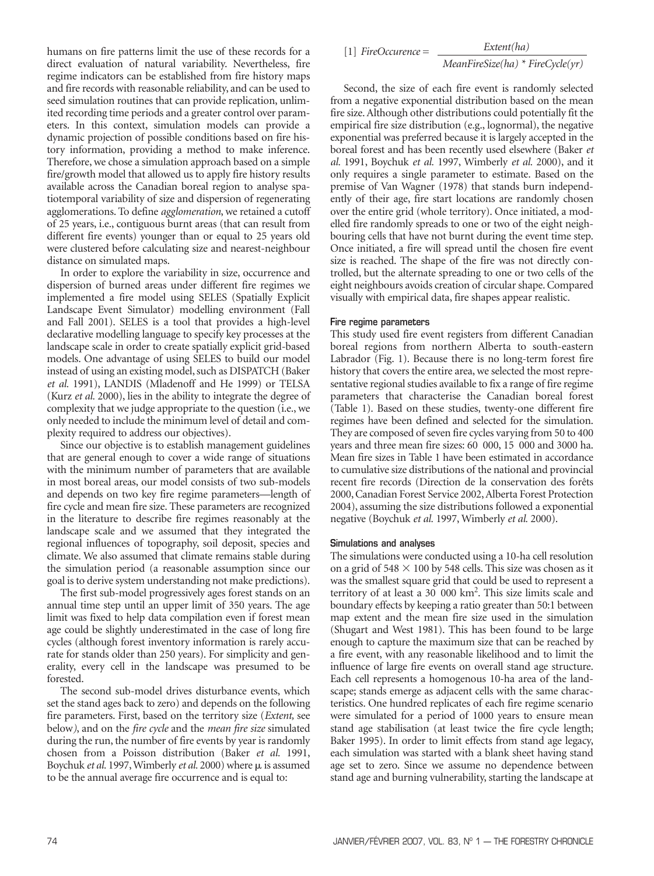humans on fire patterns limit the use of these records for a direct evaluation of natural variability. Nevertheless, fire regime indicators can be established from fire history maps and fire records with reasonable reliability, and can be used to seed simulation routines that can provide replication, unlimited recording time periods and a greater control over parameters. In this context, simulation models can provide a dynamic projection of possible conditions based on fire history information, providing a method to make inference. Therefore, we chose a simulation approach based on a simple fire/growth model that allowed us to apply fire history results available across the Canadian boreal region to analyse spatiotemporal variability of size and dispersion of regenerating agglomerations. To define *agglomeration*, we retained a cutoff of 25 years, i.e., contiguous burnt areas (that can result from different fire events) younger than or equal to 25 years old were clustered before calculating size and nearest-neighbour distance on simulated maps.

In order to explore the variability in size, occurrence and dispersion of burned areas under different fire regimes we implemented a fire model using SELES (Spatially Explicit Landscape Event Simulator) modelling environment (Fall and Fall 2001). SELES is a tool that provides a high-level declarative modelling language to specify key processes at the landscape scale in order to create spatially explicit grid-based models. One advantage of using SELES to build our model instead of using an existing model, such as DISPATCH (Baker *et al.* 1991), LANDIS (Mladenoff and He 1999) or TELSA (Kurz *et al.* 2000), lies in the ability to integrate the degree of complexity that we judge appropriate to the question (i.e., we only needed to include the minimum level of detail and complexity required to address our objectives).

Since our objective is to establish management guidelines that are general enough to cover a wide range of situations with the minimum number of parameters that are available in most boreal areas, our model consists of two sub-models and depends on two key fire regime parameters—length of fire cycle and mean fire size. These parameters are recognized in the literature to describe fire regimes reasonably at the landscape scale and we assumed that they integrated the regional influences of topography, soil deposit, species and climate. We also assumed that climate remains stable during the simulation period (a reasonable assumption since our goal is to derive system understanding not make predictions).

The first sub-model progressively ages forest stands on an annual time step until an upper limit of 350 years. The age limit was fixed to help data compilation even if forest mean age could be slightly underestimated in the case of long fire cycles (although forest inventory information is rarely accurate for stands older than 250 years). For simplicity and generality, every cell in the landscape was presumed to be forested.

The second sub-model drives disturbance events, which set the stand ages back to zero) and depends on the following fire parameters. First, based on the territory size (*Extent,* see below*)*, and on the *fire cycle* and the *mean fire size* simulated during the run, the number of fire events by year is randomly chosen from a Poisson distribution (Baker *et al.* 1991, Boychuk *et al.* 1997, Wimberly *et al.* 2000) where  $\mu$  is assumed to be the annual average fire occurrence and is equal to:

[1] *FireOccurence* = *Extent(ha)*

*MeanFireSize(ha) \* FireCycle(yr)*

Second, the size of each fire event is randomly selected from a negative exponential distribution based on the mean fire size. Although other distributions could potentially fit the empirical fire size distribution (e.g., lognormal), the negative exponential was preferred because it is largely accepted in the boreal forest and has been recently used elsewhere (Baker *et al.* 1991, Boychuk *et al.* 1997, Wimberly *et al.* 2000), and it only requires a single parameter to estimate. Based on the premise of Van Wagner (1978) that stands burn independently of their age, fire start locations are randomly chosen over the entire grid (whole territory). Once initiated, a modelled fire randomly spreads to one or two of the eight neighbouring cells that have not burnt during the event time step. Once initiated, a fire will spread until the chosen fire event size is reached. The shape of the fire was not directly controlled, but the alternate spreading to one or two cells of the eight neighbours avoids creation of circular shape. Compared visually with empirical data, fire shapes appear realistic.

#### Fire regime parameters

This study used fire event registers from different Canadian boreal regions from northern Alberta to south-eastern Labrador (Fig. 1). Because there is no long-term forest fire history that covers the entire area, we selected the most representative regional studies available to fix a range of fire regime parameters that characterise the Canadian boreal forest (Table 1). Based on these studies, twenty-one different fire regimes have been defined and selected for the simulation. They are composed of seven fire cycles varying from 50 to 400 years and three mean fire sizes: 60 000, 15 000 and 3000 ha. Mean fire sizes in Table 1 have been estimated in accordance to cumulative size distributions of the national and provincial recent fire records (Direction de la conservation des forêts 2000, Canadian Forest Service 2002, Alberta Forest Protection 2004), assuming the size distributions followed a exponential negative (Boychuk *et al.* 1997, Wimberly *et al.* 2000).

#### Simulations and analyses

The simulations were conducted using a 10-ha cell resolution on a grid of 548  $\times$  100 by 548 cells. This size was chosen as it was the smallest square grid that could be used to represent a territory of at least a 30 000 km2. This size limits scale and boundary effects by keeping a ratio greater than 50:1 between map extent and the mean fire size used in the simulation (Shugart and West 1981). This has been found to be large enough to capture the maximum size that can be reached by a fire event, with any reasonable likelihood and to limit the influence of large fire events on overall stand age structure. Each cell represents a homogenous 10-ha area of the landscape; stands emerge as adjacent cells with the same characteristics. One hundred replicates of each fire regime scenario were simulated for a period of 1000 years to ensure mean stand age stabilisation (at least twice the fire cycle length; Baker 1995). In order to limit effects from stand age legacy, each simulation was started with a blank sheet having stand age set to zero. Since we assume no dependence between stand age and burning vulnerability, starting the landscape at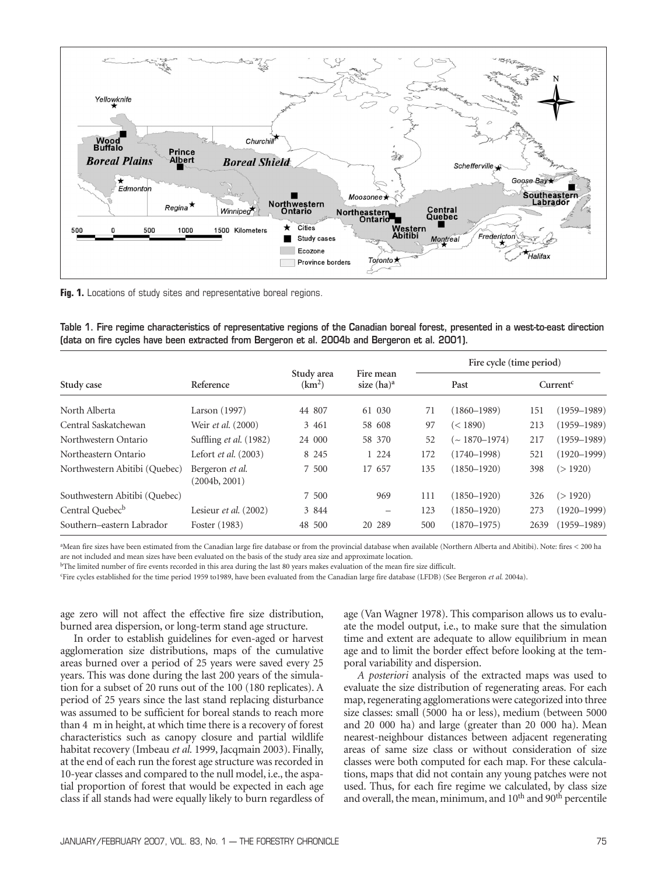

Fig. 1. Locations of study sites and representative boreal regions.

|  |  |  |                                                                                                |  |  |  |  | Table 1. Fire regime characteristics of representative regions of the Canadian boreal forest, presented in a west-to-east direction |
|--|--|--|------------------------------------------------------------------------------------------------|--|--|--|--|-------------------------------------------------------------------------------------------------------------------------------------|
|  |  |  | (data on fire cycles have been extracted from Bergeron et al. 2004b and Bergeron et al. 2001). |  |  |  |  |                                                                                                                                     |

|                               |                                  |                                  |                                |     | Fire cycle (time period) |                      |                 |  |  |  |
|-------------------------------|----------------------------------|----------------------------------|--------------------------------|-----|--------------------------|----------------------|-----------------|--|--|--|
| Study case                    | Reference                        | Study area<br>(km <sup>2</sup> ) | Fire mean<br>size $(ha)^a$     |     | Past                     | Current <sup>c</sup> |                 |  |  |  |
| North Alberta                 | Larson (1997)                    | 44 807                           | 61 030                         | 71  | $(1860 - 1989)$          | 151                  | $(1959 - 1989)$ |  |  |  |
| Central Saskatchewan          | Weir et al. (2000)               | 3 4 6 1                          | 58 608                         | 97  | (< 1890)                 | 213                  | $(1959 - 1989)$ |  |  |  |
| Northwestern Ontario          | Suffling et al. (1982)           | 24 000                           | 58 370                         | 52  | $\sim 1870 - 1974$       | 217                  | $(1959 - 1989)$ |  |  |  |
| Northeastern Ontario          | Lefort et al. (2003)             | 8 2 4 5                          | 1 2 2 4                        | 172 | $(1740 - 1998)$          | 521                  | $(1920 - 1999)$ |  |  |  |
| Northwestern Abitibi (Quebec) | Bergeron et al.<br>(2004b, 2001) | 7 500                            | 17 657                         | 135 | $(1850 - 1920)$          | 398                  | (>1920)         |  |  |  |
| Southwestern Abitibi (Quebec) |                                  | 7 500                            | 969                            | 111 | $(1850 - 1920)$          | 326                  | (>1920)         |  |  |  |
| Central Quebec <sup>b</sup>   | Lesieur et al. (2002)            | 3 844                            | $\qquad \qquad \longleftarrow$ | 123 | $(1850 - 1920)$          | 273                  | $(1920 - 1999)$ |  |  |  |
| Southern-eastern Labrador     | Foster (1983)                    | 48 500                           | 20 289                         | 500 | $(1870 - 1975)$          | 2639                 | $(1959 - 1989)$ |  |  |  |

a Mean fire sizes have been estimated from the Canadian large fire database or from the provincial database when available (Northern Alberta and Abitibi). Note: fires < 200 ha are not included and mean sizes have been evaluated on the basis of the study area size and approximate location.

bThe limited number of fire events recorded in this area during the last 80 years makes evaluation of the mean fire size difficult.

c Fire cycles established for the time period 1959 to1989, have been evaluated from the Canadian large fire database (LFDB) (See Bergeron *et al.* 2004a).

age zero will not affect the effective fire size distribution, burned area dispersion, or long-term stand age structure.

In order to establish guidelines for even-aged or harvest agglomeration size distributions, maps of the cumulative areas burned over a period of 25 years were saved every 25 years. This was done during the last 200 years of the simulation for a subset of 20 runs out of the 100 (180 replicates). A period of 25 years since the last stand replacing disturbance was assumed to be sufficient for boreal stands to reach more than 4 m in height, at which time there is a recovery of forest characteristics such as canopy closure and partial wildlife habitat recovery (Imbeau *et al.* 1999, Jacqmain 2003). Finally, at the end of each run the forest age structure was recorded in 10-year classes and compared to the null model, i.e., the aspatial proportion of forest that would be expected in each age class if all stands had were equally likely to burn regardless of age (Van Wagner 1978). This comparison allows us to evaluate the model output, i.e., to make sure that the simulation time and extent are adequate to allow equilibrium in mean age and to limit the border effect before looking at the temporal variability and dispersion.

*A posteriori* analysis of the extracted maps was used to evaluate the size distribution of regenerating areas. For each map, regenerating agglomerations were categorized into three size classes: small (5000 ha or less), medium (between 5000 and 20 000 ha) and large (greater than 20 000 ha). Mean nearest-neighbour distances between adjacent regenerating areas of same size class or without consideration of size classes were both computed for each map. For these calculations, maps that did not contain any young patches were not used. Thus, for each fire regime we calculated, by class size and overall, the mean, minimum, and 10<sup>th</sup> and 90<sup>th</sup> percentile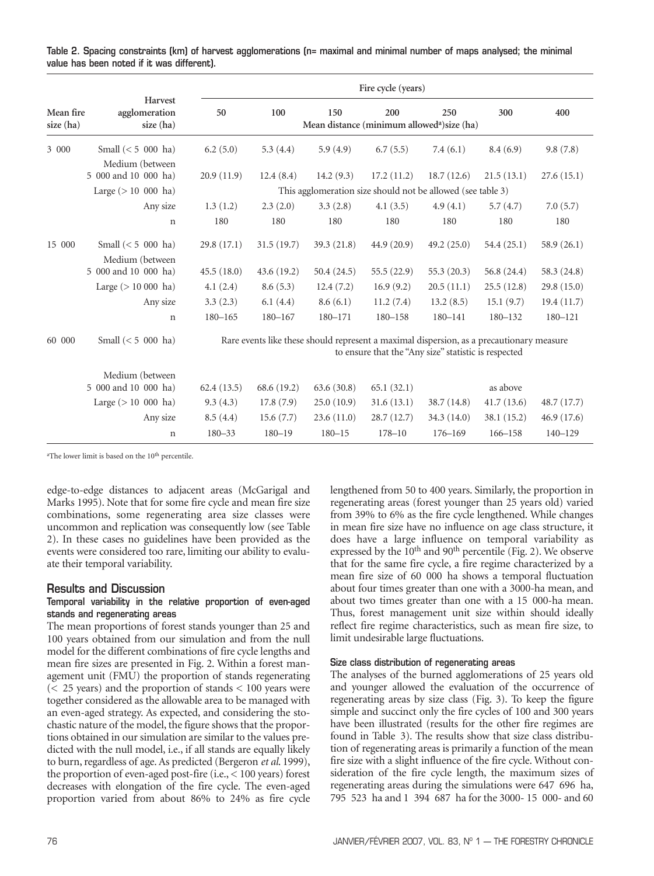| Table 2. Spacing constraints (km) of harvest agglomerations (n= maximal and minimal number of maps analysed; the minimal |  |  |  |  |  |
|--------------------------------------------------------------------------------------------------------------------------|--|--|--|--|--|
| value has been noted if it was different).                                                                               |  |  |  |  |  |

|                        |                                         | Fire cycle (years)                                                                                                                               |             |            |                                                               |               |             |             |  |  |  |  |
|------------------------|-----------------------------------------|--------------------------------------------------------------------------------------------------------------------------------------------------|-------------|------------|---------------------------------------------------------------|---------------|-------------|-------------|--|--|--|--|
| Mean fire<br>size (ha) | Harvest<br>agglomeration<br>size (ha)   | 50                                                                                                                                               | 100         | 150        | 200<br>Mean distance (minimum allowed <sup>a</sup> )size (ha) | 250           | 300         | 400         |  |  |  |  |
| 3 000                  | Small $(< 5 000$ ha)                    | 6.2(5.0)                                                                                                                                         | 5.3(4.4)    | 5.9(4.9)   | 6.7(5.5)                                                      | 7.4(6.1)      | 8.4(6.9)    | 9.8(7.8)    |  |  |  |  |
|                        | Medium (between<br>5 000 and 10 000 ha) | 20.9(11.9)                                                                                                                                       | 12.4(8.4)   | 14.2(9.3)  | 17.2(11.2)                                                    | 18.7(12.6)    | 21.5(13.1)  | 27.6(15.1)  |  |  |  |  |
|                        | Large $(>10,000)$ ha)                   | This agglomeration size should not be allowed (see table 3)                                                                                      |             |            |                                                               |               |             |             |  |  |  |  |
|                        | Any size                                | 1.3(1.2)                                                                                                                                         | 2.3(2.0)    | 3.3(2.8)   | 4.1(3.5)                                                      | 4.9(4.1)      | 5.7(4.7)    | 7.0(5.7)    |  |  |  |  |
|                        | $\mathbf n$                             | 180                                                                                                                                              | 180         | 180        | 180                                                           | 180           | 180         | 180         |  |  |  |  |
| 15 000                 | Small $(< 5 000$ ha)                    | 29.8(17.1)                                                                                                                                       | 31.5(19.7)  | 39.3(21.8) | 44.9(20.9)                                                    | 49.2(25.0)    | 54.4(25.1)  | 58.9(26.1)  |  |  |  |  |
|                        | Medium (between<br>5 000 and 10 000 ha) | 45.5(18.0)                                                                                                                                       | 43.6 (19.2) | 50.4(24.5) | 55.5 (22.9)                                                   | 55.3 $(20.3)$ | 56.8 (24.4) | 58.3 (24.8) |  |  |  |  |
|                        | Large $(> 10 000$ ha)                   | 4.1(2.4)                                                                                                                                         | 8.6(5.3)    | 12.4(7.2)  | 16.9(9.2)                                                     | 20.5(11.1)    | 25.5(12.8)  | 29.8(15.0)  |  |  |  |  |
|                        | Any size                                | 3.3(2.3)                                                                                                                                         | 6.1(4.4)    | 8.6(6.1)   | 11.2(7.4)                                                     | 13.2(8.5)     | 15.1(9.7)   | 19.4(11.7)  |  |  |  |  |
|                        | $\mathbf n$                             | $180 - 165$                                                                                                                                      | $180 - 167$ | 180-171    | $180 - 158$                                                   | $180 - 141$   | 180-132     | $180 - 121$ |  |  |  |  |
| 60 000                 | Small $(< 5 000$ ha)                    | Rare events like these should represent a maximal dispersion, as a precautionary measure<br>to ensure that the "Any size" statistic is respected |             |            |                                                               |               |             |             |  |  |  |  |
|                        | Medium (between<br>5 000 and 10 000 ha) | 62.4(13.5)                                                                                                                                       | 68.6 (19.2) | 63.6(30.8) | 65.1(32.1)                                                    |               | as above    |             |  |  |  |  |
|                        | Large $(>10,000)$ ha)                   | 9.3(4.3)                                                                                                                                         | 17.8(7.9)   | 25.0(10.9) | 31.6(13.1)                                                    | 38.7(14.8)    | 41.7(13.6)  | 48.7 (17.7) |  |  |  |  |
|                        | Any size                                | 8.5(4.4)                                                                                                                                         | 15.6(7.7)   | 23.6(11.0) | 28.7(12.7)                                                    | 34.3 (14.0)   | 38.1 (15.2) | 46.9(17.6)  |  |  |  |  |
|                        | $\mathbf n$                             | $180 - 33$                                                                                                                                       | $180 - 19$  | $180 - 15$ | $178 - 10$                                                    | $176 - 169$   | 166-158     | $140 - 129$ |  |  |  |  |

<sup>a</sup>The lower limit is based on the 10<sup>th</sup> percentile.

edge-to-edge distances to adjacent areas (McGarigal and Marks 1995). Note that for some fire cycle and mean fire size combinations, some regenerating area size classes were uncommon and replication was consequently low (see Table 2). In these cases no guidelines have been provided as the events were considered too rare, limiting our ability to evaluate their temporal variability.

#### Results and Discussion

#### Temporal variability in the relative proportion of even-aged stands and regenerating areas

The mean proportions of forest stands younger than 25 and 100 years obtained from our simulation and from the null model for the different combinations of fire cycle lengths and mean fire sizes are presented in Fig. 2. Within a forest management unit (FMU) the proportion of stands regenerating  $(< 25$  years) and the proportion of stands  $< 100$  years were together considered as the allowable area to be managed with an even-aged strategy. As expected, and considering the stochastic nature of the model, the figure shows that the proportions obtained in our simulation are similar to the values predicted with the null model, i.e., if all stands are equally likely to burn, regardless of age. As predicted (Bergeron *et al*. 1999), the proportion of even-aged post-fire (i.e., < 100 years) forest decreases with elongation of the fire cycle. The even-aged proportion varied from about 86% to 24% as fire cycle lengthened from 50 to 400 years. Similarly, the proportion in regenerating areas (forest younger than 25 years old) varied from 39% to 6% as the fire cycle lengthened. While changes in mean fire size have no influence on age class structure, it does have a large influence on temporal variability as expressed by the  $10^{th}$  and  $90^{th}$  percentile (Fig. 2). We observe that for the same fire cycle, a fire regime characterized by a mean fire size of 60 000 ha shows a temporal fluctuation about four times greater than one with a 3000-ha mean, and about two times greater than one with a 15 000-ha mean. Thus, forest management unit size within should ideally reflect fire regime characteristics, such as mean fire size, to limit undesirable large fluctuations.

#### Size class distribution of regenerating areas

The analyses of the burned agglomerations of 25 years old and younger allowed the evaluation of the occurrence of regenerating areas by size class (Fig. 3). To keep the figure simple and succinct only the fire cycles of 100 and 300 years have been illustrated (results for the other fire regimes are found in Table 3). The results show that size class distribution of regenerating areas is primarily a function of the mean fire size with a slight influence of the fire cycle. Without consideration of the fire cycle length, the maximum sizes of regenerating areas during the simulations were 647 696 ha, 795 523 ha and 1 394 687 ha for the 3000- 15 000- and 60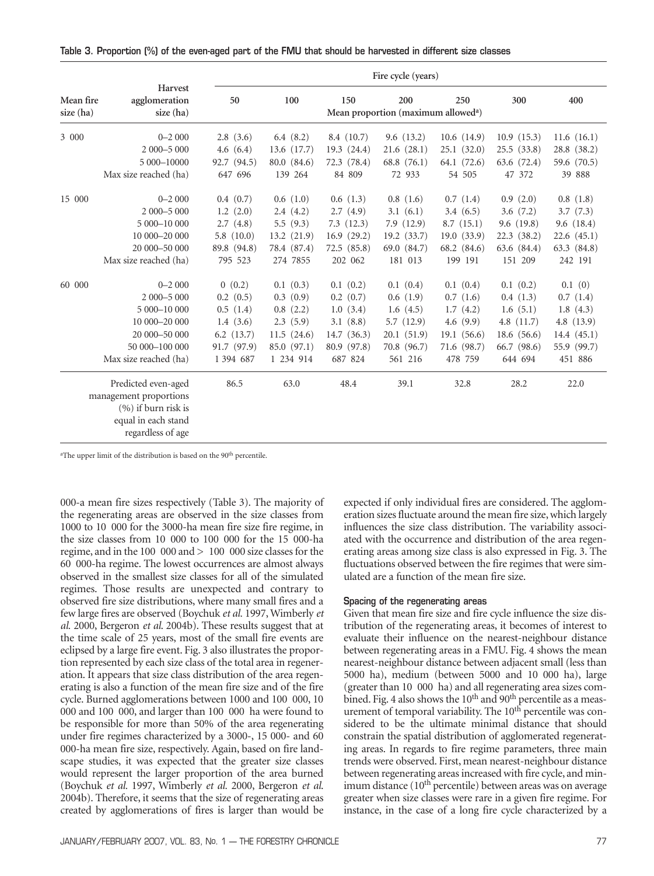| Table 3. Proportion (%) of the even-aged part of the FMU that should be harvested in different size classes |  |  |  |  |  |  |  |  |
|-------------------------------------------------------------------------------------------------------------|--|--|--|--|--|--|--|--|
|                                                                                                             |  |  |  |  |  |  |  |  |

|                        |                                                                                                                    | Fire cycle (years) |             |               |               |             |              |              |  |  |  |
|------------------------|--------------------------------------------------------------------------------------------------------------------|--------------------|-------------|---------------|---------------|-------------|--------------|--------------|--|--|--|
| Mean fire<br>size (ha) | Harvest<br>agglomeration<br>size (ha)                                                                              | 50                 | 300         | 400           |               |             |              |              |  |  |  |
| 3 000                  | $0 - 2000$                                                                                                         | 2.8(3.6)           | 6.4 $(8.2)$ | 8.4(10.7)     | 9.6(13.2)     | 10.6(14.9)  | 10.9(15.3)   | 11.6(16.1)   |  |  |  |
|                        | 2 000-5 000                                                                                                        | 4.6 $(6.4)$        | 13.6 (17.7) | 19.3(24.4)    | 21.6(28.1)    | 25.1(32.0)  | 25.5(33.8)   | 28.8 (38.2)  |  |  |  |
|                        | 5 000-10000                                                                                                        | 92.7 (94.5)        | 80.0 (84.6) | 72.3 (78.4)   | 68.8 $(76.1)$ | 64.1 (72.6) | 63.6 (72.4)  | 59.6 (70.5)  |  |  |  |
|                        | Max size reached (ha)                                                                                              | 647 696            | 139 264     | 84 809        | 72 933        | 54 505      | 47 372       | 39 888       |  |  |  |
| 15 000                 | $0 - 2000$                                                                                                         | 0.4(0.7)           | 0.6(1.0)    | 0.6(1.3)      | 0.8(1.6)      | 0.7(1.4)    | 0.9(2.0)     | 0.8(1.8)     |  |  |  |
|                        | 2 000 - 5 000                                                                                                      | 1.2(2.0)           | 2.4(4.2)    | 2.7(4.9)      | 3.1(6.1)      | 3.4(6.5)    | 3.6(7.2)     | 3.7(7.3)     |  |  |  |
|                        | 5 000-10 000                                                                                                       | 2.7(4.8)           | 5.5 $(9.3)$ | 7.3(12.3)     | 7.9(12.9)     | 8.7(15.1)   | 9.6(19.8)    | 9.6(18.4)    |  |  |  |
|                        | 10 000-20 000                                                                                                      | 5.8(10.0)          | 13.2(21.9)  | 16.9(29.2)    | 19.2(33.7)    | 19.0(33.9)  | 22.3(38.2)   | 22.6(45.1)   |  |  |  |
|                        | 20 000-50 000                                                                                                      | 89.8 (94.8)        | 78.4 (87.4) | 72.5(85.8)    | 69.0 (84.7)   | 68.2 (84.6) | 63.6 (84.4)  | 63.3 (84.8)  |  |  |  |
|                        | Max size reached (ha)                                                                                              | 795 523            | 274 7855    | 202 062       | 181 013       | 199 191     | 151 209      | 242 191      |  |  |  |
| 60 000                 | $0 - 2000$                                                                                                         | 0(0.2)             | 0.1(0.3)    | 0.1(0.2)      | 0.1(0.4)      | 0.1(0.4)    | 0.1(0.2)     | 0.1(0)       |  |  |  |
|                        | 2 000 - 5 000                                                                                                      | 0.2(0.5)           | 0.3(0.9)    | $0.2$ $(0.7)$ | 0.6(1.9)      | 0.7(1.6)    | 0.4(1.3)     | 0.7(1.4)     |  |  |  |
|                        | 5 000-10 000                                                                                                       | 0.5(1.4)           | 0.8(2.2)    | 1.0(3.4)      | 1.6(4.5)      | 1.7(4.2)    | 1.6(5.1)     | 1.8(4.3)     |  |  |  |
|                        | 10 000-20 000                                                                                                      | 1.4(3.6)           | 2.3(5.9)    | 3.1(8.8)      | 5.7(12.9)     | 4.6(9.9)    | 4.8 $(11.7)$ | 4.8 $(13.9)$ |  |  |  |
|                        | 20 000-50 000                                                                                                      | $6.2$ $(13.7)$     | 11.5(24.6)  | 14.7(36.3)    | 20.1(51.9)    | 19.1(56.6)  | 18.6(56.6)   | 14.4(45.1)   |  |  |  |
|                        | 50 000 - 100 000                                                                                                   | 91.7 (97.9)        | 85.0 (97.1) | 80.9 (97.8)   | 70.8 (96.7)   | 71.6 (98.7) | 66.7 (98.6)  | 55.9 (99.7)  |  |  |  |
|                        | Max size reached (ha)                                                                                              | 1 394 687          | 1 234 914   | 687 824       | 561 216       | 478 759     | 644 694      | 451 886      |  |  |  |
|                        | Predicted even-aged<br>management proportions<br>$(%)$ if burn risk is<br>equal in each stand<br>regardless of age | 86.5               | 63.0        | 48.4          | 39.1          | 32.8        | 28.2         | 22.0         |  |  |  |

<sup>a</sup>The upper limit of the distribution is based on the 90<sup>th</sup> percentile.

000-a mean fire sizes respectively (Table 3). The majority of the regenerating areas are observed in the size classes from 1000 to 10 000 for the 3000-ha mean fire size fire regime, in the size classes from 10 000 to 100 000 for the 15 000-ha regime, and in the 100 000 and > 100 000 size classes for the 60 000-ha regime. The lowest occurrences are almost always observed in the smallest size classes for all of the simulated regimes. Those results are unexpected and contrary to observed fire size distributions, where many small fires and a few large fires are observed (Boychuk *et al.* 1997, Wimberly *et al.* 2000, Bergeron *et al*. 2004b). These results suggest that at the time scale of 25 years, most of the small fire events are eclipsed by a large fire event. Fig. 3 also illustrates the proportion represented by each size class of the total area in regeneration. It appears that size class distribution of the area regenerating is also a function of the mean fire size and of the fire cycle. Burned agglomerations between 1000 and 100 000, 10 000 and 100 000, and larger than 100 000 ha were found to be responsible for more than 50% of the area regenerating under fire regimes characterized by a 3000-, 15 000- and 60 000-ha mean fire size, respectively. Again, based on fire landscape studies, it was expected that the greater size classes would represent the larger proportion of the area burned (Boychuk *et al.* 1997, Wimberly *et al.* 2000, Bergeron *et al*. 2004b). Therefore, it seems that the size of regenerating areas created by agglomerations of fires is larger than would be expected if only individual fires are considered. The agglomeration sizes fluctuate around the mean fire size, which largely influences the size class distribution. The variability associated with the occurrence and distribution of the area regenerating areas among size class is also expressed in Fig. 3. The fluctuations observed between the fire regimes that were simulated are a function of the mean fire size.

#### Spacing of the regenerating areas

Given that mean fire size and fire cycle influence the size distribution of the regenerating areas, it becomes of interest to evaluate their influence on the nearest-neighbour distance between regenerating areas in a FMU. Fig. 4 shows the mean nearest-neighbour distance between adjacent small (less than 5000 ha), medium (between 5000 and 10 000 ha), large (greater than 10 000 ha) and all regenerating area sizes combined. Fig. 4 also shows the 10<sup>th</sup> and 90<sup>th</sup> percentile as a measurement of temporal variability. The  $10<sup>th</sup>$  percentile was considered to be the ultimate minimal distance that should constrain the spatial distribution of agglomerated regenerating areas. In regards to fire regime parameters, three main trends were observed. First, mean nearest-neighbour distance between regenerating areas increased with fire cycle, and minimum distance (10<sup>th</sup> percentile) between areas was on average greater when size classes were rare in a given fire regime. For instance, in the case of a long fire cycle characterized by a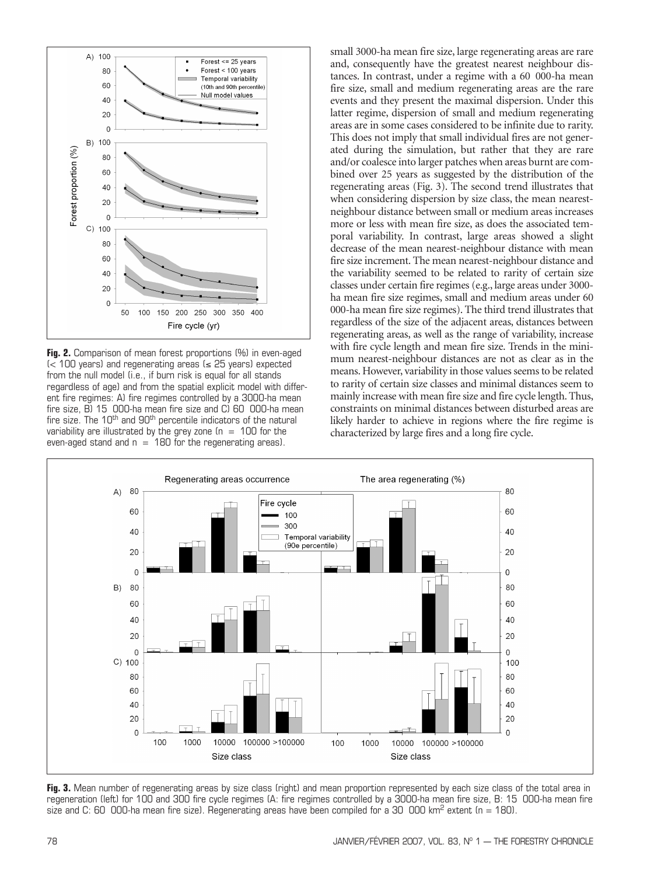

**Fig. 2.** Comparison of mean forest proportions (%) in even-aged (< 100 years) and regenerating areas (≤ 25 years) expected from the null model (i.e., if burn risk is equal for all stands regardless of age) and from the spatial explicit model with different fire regimes: A) fire regimes controlled by a 3000-ha mean fire size, B) 15 000-ha mean fire size and C) 60 000-ha mean fire size. The 10<sup>th</sup> and 90<sup>th</sup> percentile indicators of the natural variability are illustrated by the grey zone  $(n = 100$  for the even-aged stand and  $n = 180$  for the regenerating areas).

small 3000-ha mean fire size, large regenerating areas are rare and, consequently have the greatest nearest neighbour distances. In contrast, under a regime with a 60 000-ha mean fire size, small and medium regenerating areas are the rare events and they present the maximal dispersion. Under this latter regime, dispersion of small and medium regenerating areas are in some cases considered to be infinite due to rarity. This does not imply that small individual fires are not generated during the simulation, but rather that they are rare and/or coalesce into larger patches when areas burnt are combined over 25 years as suggested by the distribution of the regenerating areas (Fig. 3). The second trend illustrates that when considering dispersion by size class, the mean nearestneighbour distance between small or medium areas increases more or less with mean fire size, as does the associated temporal variability. In contrast, large areas showed a slight decrease of the mean nearest-neighbour distance with mean fire size increment. The mean nearest-neighbour distance and the variability seemed to be related to rarity of certain size classes under certain fire regimes (e.g., large areas under 3000 ha mean fire size regimes, small and medium areas under 60 000-ha mean fire size regimes). The third trend illustrates that regardless of the size of the adjacent areas, distances between regenerating areas, as well as the range of variability, increase with fire cycle length and mean fire size. Trends in the minimum nearest-neighbour distances are not as clear as in the means. However, variability in those values seems to be related to rarity of certain size classes and minimal distances seem to mainly increase with mean fire size and fire cycle length. Thus, constraints on minimal distances between disturbed areas are likely harder to achieve in regions where the fire regime is characterized by large fires and a long fire cycle.



**Fig. 3.** Mean number of regenerating areas by size class (right) and mean proportion represented by each size class of the total area in regeneration (left) for 100 and 300 fire cycle regimes (A: fire regimes controlled by a 3000-ha mean fire size, B: 15 000-ha mean fire size and C: 60 000-ha mean fire size). Regenerating areas have been compiled for a 30 000 km<sup>2</sup> extent (n = 180).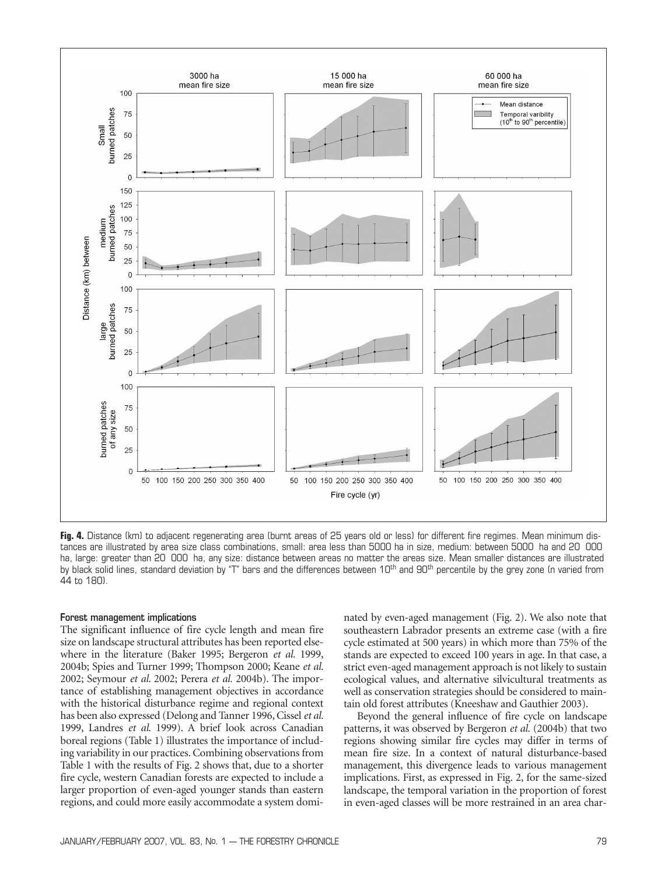

**Fig. 4.** Distance (km) to adjacent regenerating area (burnt areas of 25 years old or less) for different fire regimes. Mean minimum distances are illustrated by area size class combinations, small: area less than 5000 ha in size, medium: between 5000 ha and 20 000 ha, large: greater than 20 000 ha, any size: distance between areas no matter the areas size. Mean smaller distances are illustrated by black solid lines, standard deviation by "T" bars and the differences between  $10<sup>th</sup>$  and  $90<sup>th</sup>$  percentile by the grey zone (n varied from 44 to 180).

#### Forest management implications

The significant influence of fire cycle length and mean fire size on landscape structural attributes has been reported elsewhere in the literature (Baker 1995; Bergeron *et al.* 1999, 2004b; Spies and Turner 1999; Thompson 2000; Keane *et al.* 2002; Seymour *et al*. 2002; Perera *et al.* 2004b). The importance of establishing management objectives in accordance with the historical disturbance regime and regional context has been also expressed (Delong and Tanner 1996, Cissel *et al.* 1999, Landres *et al*. 1999). A brief look across Canadian boreal regions (Table 1) illustrates the importance of including variability in our practices. Combining observations from Table 1 with the results of Fig. 2 shows that, due to a shorter fire cycle, western Canadian forests are expected to include a larger proportion of even-aged younger stands than eastern regions, and could more easily accommodate a system dominated by even-aged management (Fig. 2). We also note that southeastern Labrador presents an extreme case (with a fire cycle estimated at 500 years) in which more than 75% of the stands are expected to exceed 100 years in age. In that case, a strict even-aged management approach is not likely to sustain ecological values, and alternative silvicultural treatments as well as conservation strategies should be considered to maintain old forest attributes (Kneeshaw and Gauthier 2003).

Beyond the general influence of fire cycle on landscape patterns, it was observed by Bergeron *et al.* (2004b) that two regions showing similar fire cycles may differ in terms of mean fire size. In a context of natural disturbance-based management, this divergence leads to various management implications. First, as expressed in Fig. 2, for the same-sized landscape, the temporal variation in the proportion of forest in even-aged classes will be more restrained in an area char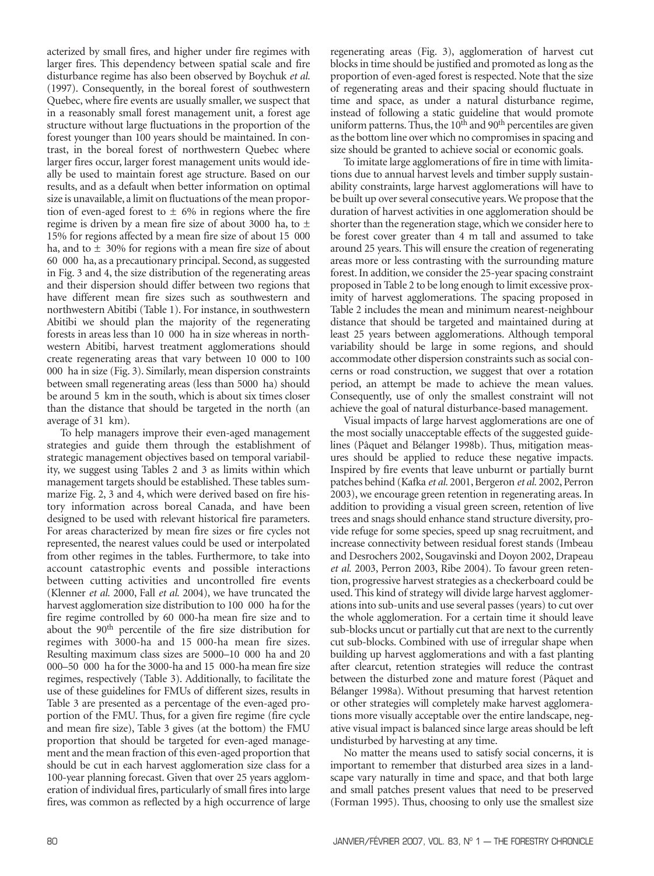acterized by small fires, and higher under fire regimes with larger fires. This dependency between spatial scale and fire disturbance regime has also been observed by Boychuk *et al.* (1997). Consequently, in the boreal forest of southwestern Quebec, where fire events are usually smaller, we suspect that in a reasonably small forest management unit, a forest age structure without large fluctuations in the proportion of the forest younger than 100 years should be maintained. In contrast, in the boreal forest of northwestern Quebec where larger fires occur, larger forest management units would ideally be used to maintain forest age structure. Based on our results, and as a default when better information on optimal size is unavailable, a limit on fluctuations of the mean proportion of even-aged forest to  $\pm$  6% in regions where the fire regime is driven by a mean fire size of about 3000 ha, to  $\pm$ 15% for regions affected by a mean fire size of about 15 000 ha, and to  $\pm$  30% for regions with a mean fire size of about 60 000 ha, as a precautionary principal. Second, as suggested in Fig. 3 and 4, the size distribution of the regenerating areas and their dispersion should differ between two regions that have different mean fire sizes such as southwestern and northwestern Abitibi (Table 1). For instance, in southwestern Abitibi we should plan the majority of the regenerating forests in areas less than 10 000 ha in size whereas in northwestern Abitibi, harvest treatment agglomerations should create regenerating areas that vary between 10 000 to 100 000 ha in size (Fig. 3). Similarly, mean dispersion constraints between small regenerating areas (less than 5000 ha) should be around 5 km in the south, which is about six times closer than the distance that should be targeted in the north (an average of 31 km).

To help managers improve their even-aged management strategies and guide them through the establishment of strategic management objectives based on temporal variability, we suggest using Tables 2 and 3 as limits within which management targets should be established. These tables summarize Fig. 2, 3 and 4, which were derived based on fire history information across boreal Canada, and have been designed to be used with relevant historical fire parameters. For areas characterized by mean fire sizes or fire cycles not represented, the nearest values could be used or interpolated from other regimes in the tables. Furthermore, to take into account catastrophic events and possible interactions between cutting activities and uncontrolled fire events (Klenner *et al.* 2000, Fall *et al.* 2004), we have truncated the harvest agglomeration size distribution to 100 000 ha for the fire regime controlled by 60 000-ha mean fire size and to about the 90th percentile of the fire size distribution for regimes with 3000-ha and 15 000-ha mean fire sizes. Resulting maximum class sizes are 5000–10 000 ha and 20 000–50 000 ha for the 3000-ha and 15 000-ha mean fire size regimes, respectively (Table 3). Additionally, to facilitate the use of these guidelines for FMUs of different sizes, results in Table 3 are presented as a percentage of the even-aged proportion of the FMU. Thus, for a given fire regime (fire cycle and mean fire size), Table 3 gives (at the bottom) the FMU proportion that should be targeted for even-aged management and the mean fraction of this even-aged proportion that should be cut in each harvest agglomeration size class for a 100-year planning forecast. Given that over 25 years agglomeration of individual fires, particularly of small fires into large fires, was common as reflected by a high occurrence of large

regenerating areas (Fig. 3), agglomeration of harvest cut blocks in time should be justified and promoted as long as the proportion of even-aged forest is respected. Note that the size of regenerating areas and their spacing should fluctuate in time and space, as under a natural disturbance regime, instead of following a static guideline that would promote uniform patterns. Thus, the  $10<sup>th</sup>$  and  $90<sup>th</sup>$  percentiles are given as the bottom line over which no compromises in spacing and size should be granted to achieve social or economic goals.

To imitate large agglomerations of fire in time with limitations due to annual harvest levels and timber supply sustainability constraints, large harvest agglomerations will have to be built up over several consecutive years. We propose that the duration of harvest activities in one agglomeration should be shorter than the regeneration stage, which we consider here to be forest cover greater than 4 m tall and assumed to take around 25 years. This will ensure the creation of regenerating areas more or less contrasting with the surrounding mature forest. In addition, we consider the 25-year spacing constraint proposed in Table 2 to be long enough to limit excessive proximity of harvest agglomerations. The spacing proposed in Table 2 includes the mean and minimum nearest-neighbour distance that should be targeted and maintained during at least 25 years between agglomerations. Although temporal variability should be large in some regions, and should accommodate other dispersion constraints such as social concerns or road construction, we suggest that over a rotation period, an attempt be made to achieve the mean values. Consequently, use of only the smallest constraint will not achieve the goal of natural disturbance-based management.

Visual impacts of large harvest agglomerations are one of the most socially unacceptable effects of the suggested guidelines (Pâquet and Bélanger 1998b). Thus, mitigation measures should be applied to reduce these negative impacts. Inspired by fire events that leave unburnt or partially burnt patches behind (Kafka *et al.* 2001, Bergeron *et al.* 2002, Perron 2003), we encourage green retention in regenerating areas. In addition to providing a visual green screen, retention of live trees and snags should enhance stand structure diversity, provide refuge for some species, speed up snag recruitment, and increase connectivity between residual forest stands (Imbeau and Desrochers 2002, Sougavinski and Doyon 2002, Drapeau *et al.* 2003, Perron 2003, Ribe 2004). To favour green retention, progressive harvest strategies as a checkerboard could be used. This kind of strategy will divide large harvest agglomerations into sub-units and use several passes (years) to cut over the whole agglomeration. For a certain time it should leave sub-blocks uncut or partially cut that are next to the currently cut sub-blocks. Combined with use of irregular shape when building up harvest agglomerations and with a fast planting after clearcut, retention strategies will reduce the contrast between the disturbed zone and mature forest (Pâquet and Bélanger 1998a). Without presuming that harvest retention or other strategies will completely make harvest agglomerations more visually acceptable over the entire landscape, negative visual impact is balanced since large areas should be left undisturbed by harvesting at any time.

No matter the means used to satisfy social concerns, it is important to remember that disturbed area sizes in a landscape vary naturally in time and space, and that both large and small patches present values that need to be preserved (Forman 1995). Thus, choosing to only use the smallest size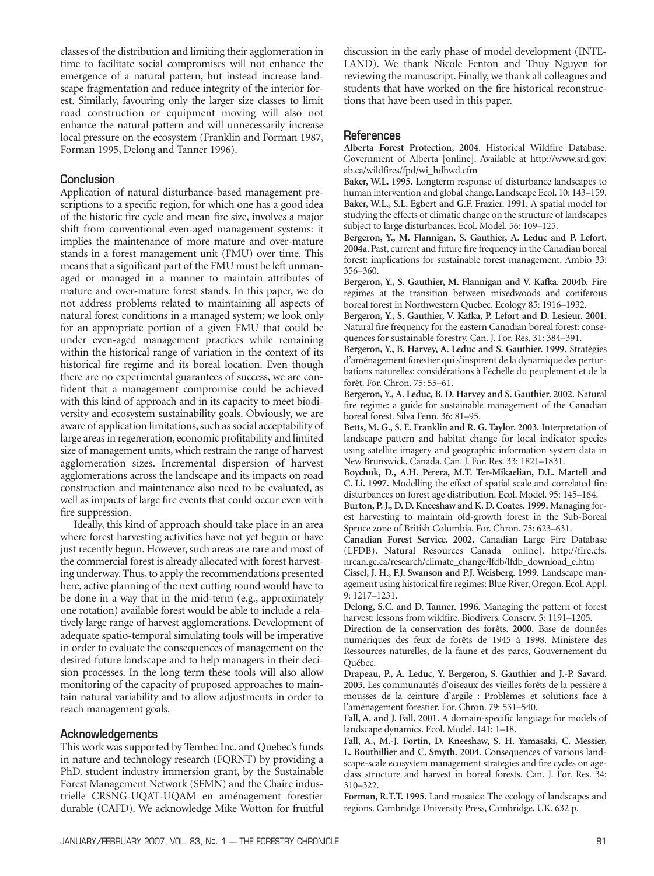classes of the distribution and limiting their agglomeration in time to facilitate social compromises will not enhance the emergence of a natural pattern, but instead increase landscape fragmentation and reduce integrity of the interior forest. Similarly, favouring only the larger size classes to limit road construction or equipment moving will also not enhance the natural pattern and will unnecessarily increase local pressure on the ecosystem (Franklin and Forman 1987, Forman 1995, Delong and Tanner 1996).

# **Conclusion**

Application of natural disturbance-based management prescriptions to a specific region, for which one has a good idea of the historic fire cycle and mean fire size, involves a major shift from conventional even-aged management systems: it implies the maintenance of more mature and over-mature stands in a forest management unit (FMU) over time. This means that a significant part of the FMU must be left unmanaged or managed in a manner to maintain attributes of mature and over-mature forest stands. In this paper, we do not address problems related to maintaining all aspects of natural forest conditions in a managed system; we look only for an appropriate portion of a given FMU that could be under even-aged management practices while remaining within the historical range of variation in the context of its historical fire regime and its boreal location. Even though there are no experimental guarantees of success, we are confident that a management compromise could be achieved with this kind of approach and in its capacity to meet biodiversity and ecosystem sustainability goals. Obviously, we are aware of application limitations, such as social acceptability of large areas in regeneration, economic profitability and limited size of management units, which restrain the range of harvest agglomeration sizes. Incremental dispersion of harvest agglomerations across the landscape and its impacts on road construction and maintenance also need to be evaluated, as well as impacts of large fire events that could occur even with fire suppression.

Ideally, this kind of approach should take place in an area where forest harvesting activities have not yet begun or have just recently begun. However, such areas are rare and most of the commercial forest is already allocated with forest harvesting underway. Thus, to apply the recommendations presented here, active planning of the next cutting round would have to be done in a way that in the mid-term (e.g., approximately one rotation) available forest would be able to include a relatively large range of harvest agglomerations. Development of adequate spatio-temporal simulating tools will be imperative in order to evaluate the consequences of management on the desired future landscape and to help managers in their decision processes. In the long term these tools will also allow monitoring of the capacity of proposed approaches to maintain natural variability and to allow adjustments in order to reach management goals.

# Acknowledgements

This work was supported by Tembec Inc. and Quebec's funds in nature and technology research (FQRNT) by providing a PhD. student industry immersion grant, by the Sustainable Forest Management Network (SFMN) and the Chaire industrielle CRSNG-UQAT-UQAM en aménagement forestier durable (CAFD). We acknowledge Mike Wotton for fruitful

discussion in the early phase of model development (INTE-LAND). We thank Nicole Fenton and Thuy Nguyen for reviewing the manuscript. Finally, we thank all colleagues and students that have worked on the fire historical reconstructions that have been used in this paper.

### **References**

**Alberta Forest Protection, 2004.** Historical Wildfire Database. Government of Alberta [online]. Available at http://www.srd.gov. ab.ca/wildfires/fpd/wi\_hdhwd.cfm

**Baker, W.L. 1995.** Longterm response of disturbance landscapes to human intervention and global change. Landscape Ecol. 10: 143–159. **Baker, W.L., S.L. Egbert and G.F. Frazier. 1991.** A spatial model for studying the effects of climatic change on the structure of landscapes subject to large disturbances. Ecol. Model. 56: 109–125.

**Bergeron, Y., M. Flannigan, S. Gauthier, A. Leduc and P. Lefort. 2004a.** Past, current and future fire frequency in the Canadian boreal forest: implications for sustainable forest management. Ambio 33: 356–360.

**Bergeron, Y., S. Gauthier, M. Flannigan and V. Kafka. 2004b.** Fire regimes at the transition between mixedwoods and coniferous boreal forest in Northwestern Quebec. Ecology 85: 1916–1932.

**Bergeron, Y., S. Gauthier, V. Kafka, P. Lefort and D. Lesieur. 2001.** Natural fire frequency for the eastern Canadian boreal forest: consequences for sustainable forestry. Can. J. For. Res. 31: 384–391.

**Bergeron, Y., B. Harvey, A. Leduc and S. Gauthier. 1999.** Stratégies d'aménagement forestier qui s'inspirent de la dynamique des perturbations naturelles: considérations à l'échelle du peuplement et de la forêt. For. Chron. 75: 55–61.

**Bergeron, Y., A. Leduc, B. D. Harvey and S. Gauthier. 2002.** Natural fire regime: a guide for sustainable management of the Canadian boreal forest. Silva Fenn. 36: 81–95.

**Betts, M. G., S. E. Franklin and R. G. Taylor. 2003.** Interpretation of landscape pattern and habitat change for local indicator species using satellite imagery and geographic information system data in New Brunswick, Canada. Can. J. For. Res. 33: 1821–1831.

**Boychuk, D., A.H. Perera, M.T. Ter-Mikaelian, D.L. Martell and C. Li. 1997.** Modelling the effect of spatial scale and correlated fire disturbances on forest age distribution. Ecol. Model. 95: 145–164.

**Burton, P. J., D. D. Kneeshaw and K. D. Coates. 1999.** Managing forest harvesting to maintain old-growth forest in the Sub-Boreal Spruce zone of British Columbia. For. Chron. 75: 623–631.

**Canadian Forest Service. 2002.** Canadian Large Fire Database (LFDB). Natural Resources Canada [online]. http://fire.cfs. nrcan.gc.ca/research/climate\_change/lfdb/lfdb\_download\_e.htm

**Cissel, J. H., F.J. Swanson and P.J. Weisberg. 1999.** Landscape management using historical fire regimes: Blue River, Oregon. Ecol. Appl. 9: 1217–1231.

**Delong, S.C. and D. Tanner. 1996.** Managing the pattern of forest harvest: lessons from wildfire. Biodivers. Conserv. 5: 1191–1205.

**Direction de la conservation des forêts. 2000.** Base de données numériques des feux de forêts de 1945 à 1998. Ministère des Ressources naturelles, de la faune et des parcs, Gouvernement du Québec.

**Drapeau, P., A. Leduc, Y. Bergeron, S. Gauthier and J.-P. Savard. 2003.** Les communautés d'oiseaux des vieilles forêts de la pessière à mousses de la ceinture d'argile : Problèmes et solutions face à l'aménagement forestier. For. Chron. 79: 531–540.

**Fall, A. and J. Fall. 2001.** A domain-specific language for models of landscape dynamics. Ecol. Model. 141: 1–18.

**Fall, A., M.-J. Fortin, D. Kneeshaw, S. H. Yamasaki, C. Messier, L. Bouthillier and C. Smyth. 2004.** Consequences of various landscape-scale ecosystem management strategies and fire cycles on ageclass structure and harvest in boreal forests. Can. J. For. Res. 34: 310–322.

**Forman, R.T.T. 1995.** Land mosaics: The ecology of landscapes and regions. Cambridge University Press, Cambridge, UK. 632 p.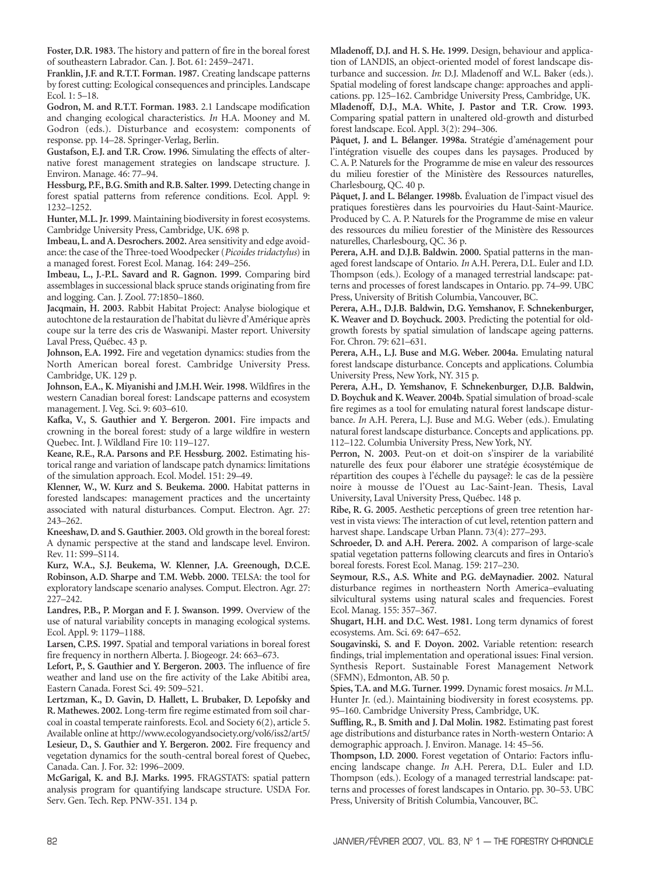**Foster, D.R. 1983.** The history and pattern of fire in the boreal forest of southeastern Labrador. Can. J. Bot. 61: 2459–2471.

**Franklin, J.F. and R.T.T. Forman. 1987.** Creating landscape patterns by forest cutting: Ecological consequences and principles. Landscape Ecol. 1: 5–18.

**Godron, M. and R.T.T. Forman. 1983.** 2.1 Landscape modification and changing ecological characteristics. *In* H.A. Mooney and M. Godron (eds.). Disturbance and ecosystem: components of response. pp. 14–28. Springer-Verlag, Berlin.

**Gustafson, E.J. and T.R. Crow. 1996.** Simulating the effects of alternative forest management strategies on landscape structure. J. Environ. Manage. 46: 77–94.

**Hessburg, P.F., B.G. Smith and R.B. Salter. 1999.** Detecting change in forest spatial patterns from reference conditions. Ecol. Appl. 9: 1232–1252.

**Hunter, M.L. Jr. 1999.** Maintaining biodiversity in forest ecosystems. Cambridge University Press, Cambridge, UK. 698 p.

**Imbeau, L. and A. Desrochers. 2002.**Area sensitivity and edge avoidance: the case of the Three-toed Woodpecker (*Picoides tridactylus*) in a managed forest. Forest Ecol. Manag. 164: 249–256.

**Imbeau, L., J.-P.L. Savard and R. Gagnon. 1999.** Comparing bird assemblages in successional black spruce stands originating from fire and logging. Can. J. Zool. 77:1850–1860.

**Jacqmain, H. 2003.** Rabbit Habitat Project: Analyse biologique et autochtone de la restauration de l'habitat du lièvre d'Amérique après coupe sur la terre des cris de Waswanipi. Master report. University Laval Press, Québec. 43 p.

**Johnson, E.A. 1992.** Fire and vegetation dynamics: studies from the North American boreal forest. Cambridge University Press. Cambridge, UK. 129 p.

**Johnson, E.A., K. Miyanishi and J.M.H. Weir. 1998.** Wildfires in the western Canadian boreal forest: Landscape patterns and ecosystem management. J. Veg. Sci. 9: 603–610.

**Kafka, V., S. Gauthier and Y. Bergeron. 2001.** Fire impacts and crowning in the boreal forest: study of a large wildfire in western Quebec. Int. J. Wildland Fire 10: 119–127.

**Keane, R.E., R.A. Parsons and P.F. Hessburg. 2002.** Estimating historical range and variation of landscape patch dynamics: limitations of the simulation approach. Ecol. Model. 151: 29–49.

**Klenner, W., W. Kurz and S. Beukema. 2000.** Habitat patterns in forested landscapes: management practices and the uncertainty associated with natural disturbances. Comput. Electron. Agr. 27: 243–262.

**Kneeshaw, D. and S. Gauthier. 2003.** Old growth in the boreal forest: A dynamic perspective at the stand and landscape level. Environ. Rev. 11: S99–S114.

**Kurz, W.A., S.J. Beukema, W. Klenner, J.A. Greenough, D.C.E. Robinson, A.D. Sharpe and T.M. Webb. 2000.** TELSA: the tool for exploratory landscape scenario analyses. Comput. Electron. Agr. 27: 227–242.

**Landres, P.B., P. Morgan and F. J. Swanson. 1999.** Overview of the use of natural variability concepts in managing ecological systems. Ecol. Appl. 9: 1179–1188.

**Larsen, C.P.S. 1997.** Spatial and temporal variations in boreal forest fire frequency in northern Alberta. J. Biogeogr. 24: 663–673.

**Lefort, P., S. Gauthier and Y. Bergeron. 2003.** The influence of fire weather and land use on the fire activity of the Lake Abitibi area, Eastern Canada. Forest Sci. 49: 509–521.

**Lertzman, K., D. Gavin, D. Hallett, L. Brubaker, D. Lepofsky and R. Mathewes. 2002.** Long-term fire regime estimated from soil charcoal in coastal temperate rainforests. Ecol. and Society 6(2), article 5. Available online at http://www.ecologyandsociety.org/vol6/iss2/art5/ **Lesieur, D., S. Gauthier and Y. Bergeron. 2002.** Fire frequency and vegetation dynamics for the south-central boreal forest of Quebec, Canada. Can. J. For. 32: 1996–2009.

**McGarigal, K. and B.J. Marks. 1995.** FRAGSTATS: spatial pattern analysis program for quantifying landscape structure. USDA For. Serv. Gen. Tech. Rep. PNW-351. 134 p.

**Mladenoff, D.J. and H. S. He. 1999.** Design, behaviour and application of LANDIS, an object-oriented model of forest landscape disturbance and succession. *In*: D.J. Mladenoff and W.L. Baker (eds.). Spatial modeling of forest landscape change: approaches and applications. pp. 125–162. Cambridge University Press, Cambridge, UK. **Mladenoff, D.J., M.A. White, J. Pastor and T.R. Crow. 1993.** Comparing spatial pattern in unaltered old-growth and disturbed forest landscape. Ecol. Appl. 3(2): 294–306.

**Pâquet, J. and L. Bélanger. 1998a.** Stratégie d'aménagement pour l'intégration visuelle des coupes dans les paysages. Produced by C. A. P. Naturels for the Programme de mise en valeur des ressources du milieu forestier of the Ministère des Ressources naturelles, Charlesbourg, QC. 40 p.

**Pâquet, J. and L. Bélanger. 1998b.** Évaluation de l'impact visuel des pratiques forestières dans les pourvoiries du Haut-Saint-Maurice. Produced by C. A. P. Naturels for the Programme de mise en valeur des ressources du milieu forestier of the Ministère des Ressources naturelles, Charlesbourg, QC. 36 p.

**Perera, A.H. and D.J.B. Baldwin. 2000.** Spatial patterns in the managed forest landscape of Ontario. *In* A.H. Perera, D.L. Euler and I.D. Thompson (eds.). Ecology of a managed terrestrial landscape: patterns and processes of forest landscapes in Ontario. pp. 74–99. UBC Press, University of British Columbia, Vancouver, BC.

**Perera, A.H., D.J.B. Baldwin, D.G. Yemshanov, F. Schnekenburger, K. Weaver and D. Boychuck. 2003.** Predicting the potential for oldgrowth forests by spatial simulation of landscape ageing patterns. For. Chron. 79: 621–631.

**Perera, A.H., L.J. Buse and M.G. Weber. 2004a.** Emulating natural forest landscape disturbance. Concepts and applications. Columbia University Press, New York, NY. 315 p.

**Perera, A.H., D. Yemshanov, F. Schnekenburger, D.J.B. Baldwin, D. Boychuk and K. Weaver. 2004b.** Spatial simulation of broad-scale fire regimes as a tool for emulating natural forest landscape disturbance. *In* A.H. Perera, L.J. Buse and M.G. Weber (eds.). Emulating natural forest landscape disturbance. Concepts and applications. pp. 112–122. Columbia University Press, New York, NY.

**Perron, N. 2003.** Peut-on et doit-on s'inspirer de la variabilité naturelle des feux pour élaborer une stratégie écosystémique de répartition des coupes à l'échelle du paysage?: le cas de la pessière noire à mousse de l'Ouest au Lac-Saint-Jean. Thesis, Laval University, Laval University Press, Québec. 148 p.

**Ribe, R. G. 2005.** Aesthetic perceptions of green tree retention harvest in vista views: The interaction of cut level, retention pattern and harvest shape. Landscape Urban Plann. 73(4): 277–293.

**Schroeder, D. and A.H. Perera. 2002.** A comparison of large-scale spatial vegetation patterns following clearcuts and fires in Ontario's boreal forests. Forest Ecol. Manag. 159: 217–230.

**Seymour, R.S., A.S. White and P.G. deMaynadier. 2002.** Natural disturbance regimes in northeastern North America–evaluating silvicultural systems using natural scales and frequencies. Forest Ecol. Manag. 155: 357–367.

**Shugart, H.H. and D.C. West. 1981.** Long term dynamics of forest ecosystems. Am. Sci. 69: 647–652.

**Sougavinski, S. and F. Doyon. 2002.** Variable retention: research findings, trial implementation and operational issues: Final version. Synthesis Report. Sustainable Forest Management Network (SFMN), Edmonton, AB. 50 p.

**Spies, T.A. and M.G. Turner. 1999.** Dynamic forest mosaics. *In* M.L. Hunter Jr. (ed.). Maintaining biodiversity in forest ecosystems. pp. 95–160. Cambridge University Press, Cambridge, UK.

**Suffling, R., B. Smith and J. Dal Molin. 1982.** Estimating past forest age distributions and disturbance rates in North-western Ontario: A demographic approach. J. Environ. Manage. 14: 45–56.

**Thompson, I.D. 2000.** Forest vegetation of Ontario: Factors influencing landscape change. *In* A.H. Perera, D.L. Euler and I.D. Thompson (eds.). Ecology of a managed terrestrial landscape: patterns and processes of forest landscapes in Ontario. pp. 30–53. UBC Press, University of British Columbia, Vancouver, BC.